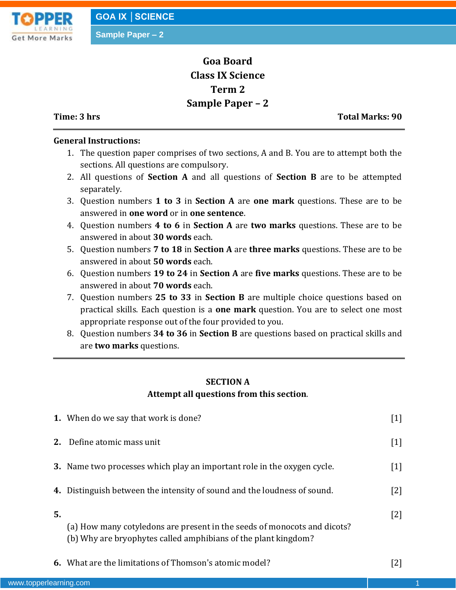

# **Goa Board Class IX Science Term 2 Sample Paper – 2**

**Time: 3 hrs Total Marks: 90**

### **General Instructions:**

- 1. The question paper comprises of two sections, A and B. You are to attempt both the sections. All questions are compulsory.
- 2. All questions of **Section A** and all questions of **Section B** are to be attempted separately.
- 3. Question numbers **1 to 3** in **Section A** are **one mark** questions. These are to be answered in **one word** or in **one sentence**.
- 4. Question numbers **4 to 6** in **Section A** are **two marks** questions. These are to be answered in about **30 words** each.
- 5. Question numbers **7 to 18** in **Section A** are **three marks** questions. These are to be answered in about **50 words** each.
- 6. Question numbers **19 to 24** in **Section A** are **five marks** questions. These are to be answered in about **70 words** each.
- 7. Question numbers **25 to 33** in **Section B** are multiple choice questions based on practical skills. Each question is a **one mark** question. You are to select one most appropriate response out of the four provided to you.
- 8. Question numbers **34 to 36** in **Section B** are questions based on practical skills and are **two marks** questions.

## **SECTION A Attempt all questions from this section**.

|    | <b>1.</b> When do we say that work is done?                                                                                                | $[1]$             |
|----|--------------------------------------------------------------------------------------------------------------------------------------------|-------------------|
| 2. | Define atomic mass unit                                                                                                                    | $\lceil 1 \rceil$ |
|    | <b>3.</b> Name two processes which play an important role in the oxygen cycle.                                                             | $[1]$             |
|    | 4. Distinguish between the intensity of sound and the loudness of sound.                                                                   | [2]               |
| 5. | (a) How many cotyledons are present in the seeds of monocots and dicots?<br>(b) Why are bryophytes called amphibians of the plant kingdom? | $[2]$             |
|    | <b>6.</b> What are the limitations of Thomson's atomic model?                                                                              |                   |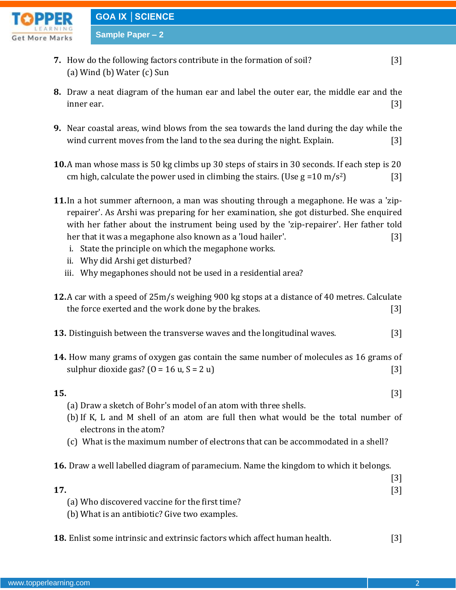

- **7.** How do the following factors contribute in the formation of soil? [3] (a) Wind (b) Water (c) Sun
- **8.** Draw a neat diagram of the human ear and label the outer ear, the middle ear and the inner ear.  $[3]$
- **9.** Near coastal areas, wind blows from the sea towards the land during the day while the wind current moves from the land to the sea during the night. Explain. [3]
- **10.**A man whose mass is 50 kg climbs up 30 steps of stairs in 30 seconds. If each step is 20 cm high, calculate the power used in climbing the stairs. (Use  $g = 10 \text{ m/s}^2$ ) [3]
- **11.**In a hot summer afternoon, a man was shouting through a megaphone. He was a 'ziprepairer'. As Arshi was preparing for her examination, she got disturbed. She enquired with her father about the instrument being used by the 'zip-repairer'. Her father told her that it was a megaphone also known as a 'loud hailer'. [3]
	- i. State the principle on which the megaphone works.
	- ii. Why did Arshi get disturbed?
	- iii. Why megaphones should not be used in a residential area?
- **12.**A car with a speed of 25m/s weighing 900 kg stops at a distance of 40 metres. Calculate the force exerted and the work done by the brakes. [3]
- **13.** Distinguish between the transverse waves and the longitudinal waves. [3]
- **14.** How many grams of oxygen gas contain the same number of molecules as 16 grams of sulphur dioxide gas?  $(0 = 16 \text{ u}, S = 2 \text{ u})$  [3]
- **15.** [3]
	- (a) Draw a sketch of Bohr's model of an atom with three shells.
	- (b) If K, L and M shell of an atom are full then what would be the total number of electrons in the atom?
	- (c) What is the maximum number of electrons that can be accommodated in a shell?
- **16.** Draw a well labelled diagram of paramecium. Name the kingdom to which it belongs.

| 17.                                            |  |
|------------------------------------------------|--|
| (a) Who discovered vaccine for the first time? |  |

- (b) What is an antibiotic? Give two examples.
- **18.** Enlist some intrinsic and extrinsic factors which affect human health. [3]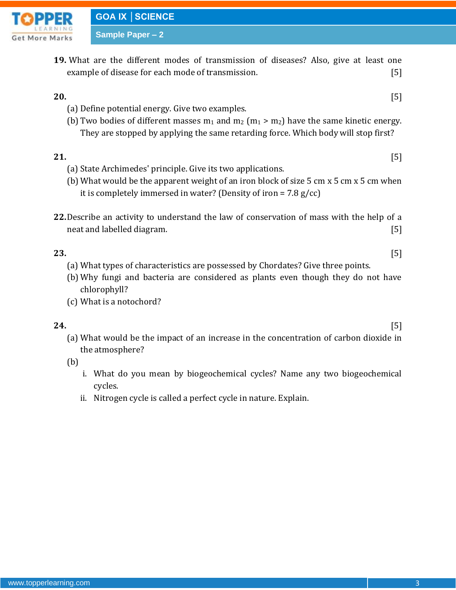

**19.** What are the different modes of transmission of diseases? Also, give at least one example of disease for each mode of transmission. [5]

### **20.** [5]

- (a) Define potential energy. Give two examples.
- (b) Two bodies of different masses  $m_1$  and  $m_2$  ( $m_1 > m_2$ ) have the same kinetic energy. They are stopped by applying the same retarding force. Which body will stop first?

### **21.** [5]

- (a) State Archimedes' principle. Give its two applications.
- (b) What would be the apparent weight of an iron block of size 5 cm x 5 cm x 5 cm when it is completely immersed in water? (Density of iron =  $7.8 \text{ g/cc}$ )
- **22.**Describe an activity to understand the law of conservation of mass with the help of a neat and labelled diagram. **Example 20** Separate and 15 and 15 and 15 and 15 and 15 and 15 and 15 and 15 and 15 and 15 and 15 and 15 and 15 and 15 and 15 and 15 and 15 and 15 and 15 and 15 and 15 and 15 and 15 and 15 and 1

- **23.** [5] (a) What types of characteristics are possessed by Chordates? Give three points.
	- (b) Why fungi and bacteria are considered as plants even though they do not have chlorophyll?
	- (c) What is a notochord?

**24.** [5]

(a) What would be the impact of an increase in the concentration of carbon dioxide in the atmosphere?

(b)

- i. What do you mean by biogeochemical cycles? Name any two biogeochemical cycles.
- ii. Nitrogen cycle is called a perfect cycle in nature. Explain.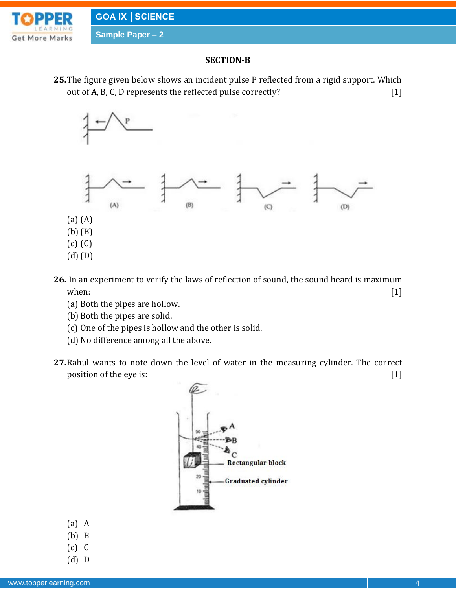

### **SECTION-B**

**25.**The figure given below shows an incident pulse P reflected from a rigid support. Which out of A, B, C, D represents the reflected pulse correctly? [1]



- **26.** In an experiment to verify the laws of reflection of sound, the sound heard is maximum when:  $[1]$ 
	- (a) Both the pipes are hollow.
	- (b) Both the pipes are solid.
	- (c) One of the pipes is hollow and the other is solid.
	- (d) No difference among all the above.
- **27.**Rahul wants to note down the level of water in the measuring cylinder. The correct position of the eye is: [1]



- (a) A
- (b) B
- (c) C
- (d) D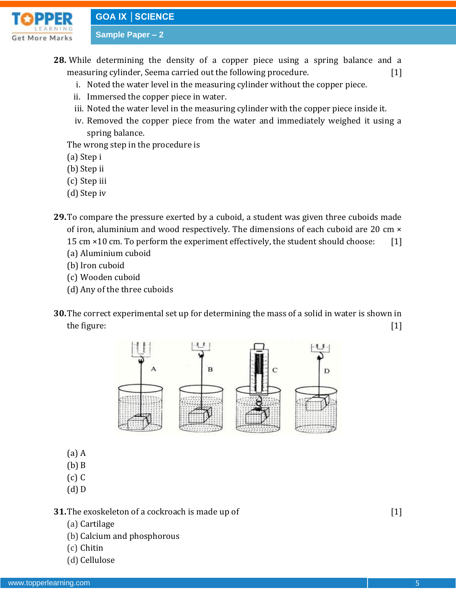# **GOA IX │SCIENCE**

**Sample Paper – 2**



**28.** While determining the density of a copper piece using a spring balance and a

measuring cylinder, Seema carried out the following procedure. [1]

- i. Noted the water level in the measuring cylinder without the copper piece.
- ii. Immersed the copper piece in water.
- iii. Noted the water level in the measuring cylinder with the copper piece inside it.
- iv. Removed the copper piece from the water and immediately weighed it using a spring balance.

The wrong step in the procedure is

- (a) Step i
- (b) Step ii
- (c) Step iii
- (d) Step iv
- **29.**To compare the pressure exerted by a cuboid, a student was given three cuboids made of iron, aluminium and wood respectively. The dimensions of each cuboid are 20 cm × 15 cm ×10 cm. To perform the experiment effectively, the student should choose: [1]
	- (a) Aluminium cuboid
	- (b) Iron cuboid
	- (c) Wooden cuboid
	- (d) Any of the three cuboids
- **30.**The correct experimental set up for determining the mass of a solid in water is shown in the figure:  $[1]$



- (a) A
- (b) B
- (c) C
- (d) D

**31.** The exoskeleton of a cockroach is made up of  $[1]$ 

- (a) Cartilage
- (b) Calcium and phosphorous
- (c) Chitin
- (d) Cellulose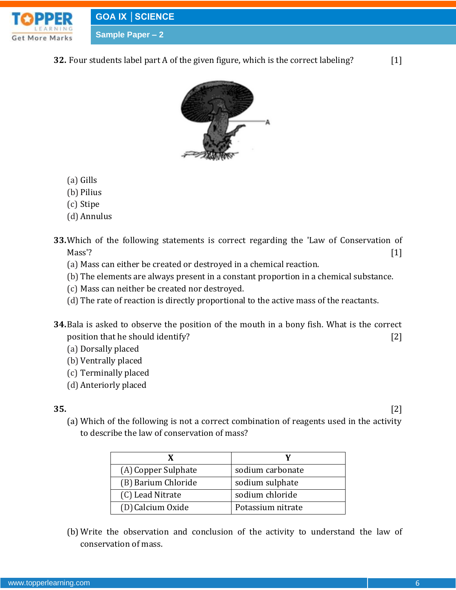





- (a) Gills
- (b) Pilius
- (c) Stipe
- (d) Annulus
- **33.**Which of the following statements is correct regarding the 'Law of Conservation of  $Mass$ '? [1]
	- (a) Mass can either be created or destroyed in a chemical reaction.
	- (b) The elements are always present in a constant proportion in a chemical substance.
	- (c) Mass can neither be created nor destroyed.
	- (d) The rate of reaction is directly proportional to the active mass of the reactants.
- **34.**Bala is asked to observe the position of the mouth in a bony fish. What is the correct position that he should identify? [2]
	- (a) Dorsally placed
	- (b) Ventrally placed
	- (c) Terminally placed
	- (d) Anteriorly placed

# **35.** [2]

- 
- (a) Which of the following is not a correct combination of reagents used in the activity to describe the law of conservation of mass?

| (A) Copper Sulphate | sodium carbonate  |
|---------------------|-------------------|
| (B) Barium Chloride | sodium sulphate   |
| (C) Lead Nitrate    | sodium chloride   |
| (D) Calcium Oxide   | Potassium nitrate |

(b) Write the observation and conclusion of the activity to understand the law of conservation of mass.